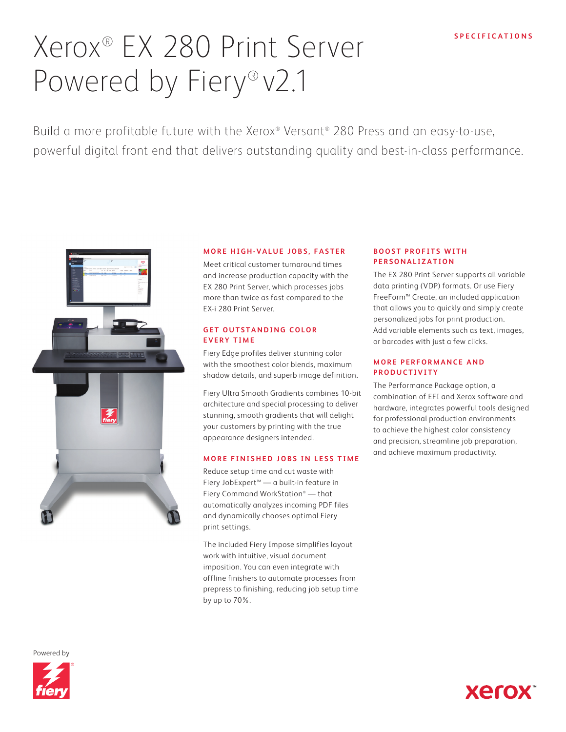# Xerox® EX 280 Print Server Powered by Fiery® v2.1

Build a more profitable future with the Xerox® Versant® 280 Press and an easy-to-use, powerful digital front end that delivers outstanding quality and best-in-class performance.



## **MORE HIGH-VALUE JOBS, FASTER**

Meet critical customer turnaround times and increase production capacity with the EX 280 Print Server, which processes jobs more than twice as fast compared to the EX-i 280 Print Server.

# **GET OUTSTANDING COLOR EVERY TIME**

Fiery Edge profiles deliver stunning color with the smoothest color blends, maximum shadow details, and superb image definition.

Fiery Ultra Smooth Gradients combines 10-bit architecture and special processing to deliver stunning, smooth gradients that will delight your customers by printing with the true appearance designers intended.

## **MORE FINISHED JOBS IN LESS TIME**

Reduce setup time and cut waste with Fiery JobExpert™ — a built-in feature in Fiery Command WorkStation® — that automatically analyzes incoming PDF files and dynamically chooses optimal Fiery print settings.

The included Fiery Impose simplifies layout work with intuitive, visual document imposition. You can even integrate with offline finishers to automate processes from prepress to finishing, reducing job setup time by up to 70%.

## **BOOST PROFITS WITH PERSONALIZATION**

The EX 280 Print Server supports all variable data printing (VDP) formats. Or use Fiery FreeForm™ Create, an included application that allows you to quickly and simply create personalized jobs for print production. Add variable elements such as text, images, or barcodes with just a few clicks.

# **MORE PERFORMANCE AND P R O D U C T I V I T Y**

The Performance Package option, a combination of EFI and Xerox software and hardware, integrates powerful tools designed for professional production environments to achieve the highest color consistency and precision, streamline job preparation, and achieve maximum productivity.

**Xerox** 

Powered by